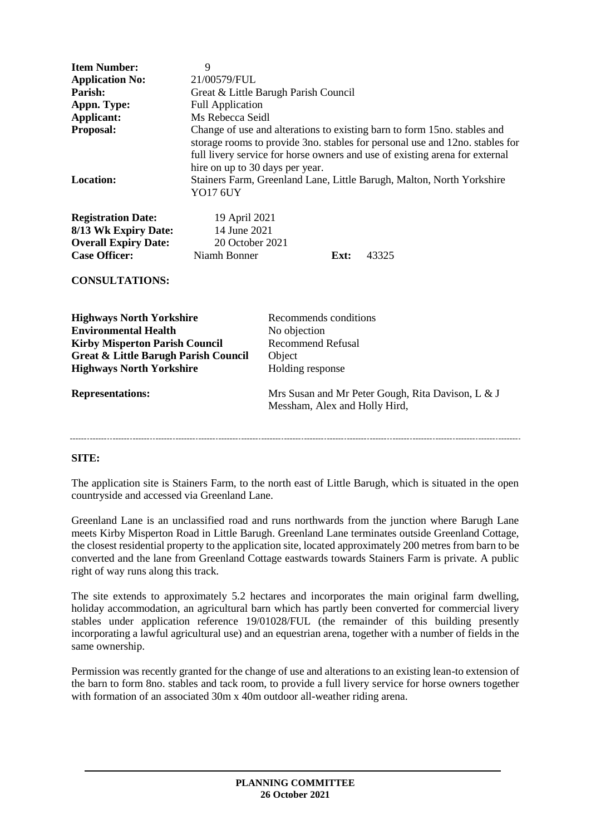| <b>Item Number:</b><br><b>Application No:</b><br>Parish:<br>Appn. Type:<br>Applicant:<br>Proposal:                                                                                            | 9<br>21/00579/FUL<br>Great & Little Barugh Parish Council<br><b>Full Application</b><br>Ms Rebecca Seidl<br>Change of use and alterations to existing barn to form 15 no. stables and<br>storage rooms to provide 3no. stables for personal use and 12no. stables for |                                                                                                 |
|-----------------------------------------------------------------------------------------------------------------------------------------------------------------------------------------------|-----------------------------------------------------------------------------------------------------------------------------------------------------------------------------------------------------------------------------------------------------------------------|-------------------------------------------------------------------------------------------------|
| Location:                                                                                                                                                                                     | full livery service for horse owners and use of existing arena for external<br>hire on up to 30 days per year.<br>Stainers Farm, Greenland Lane, Little Barugh, Malton, North Yorkshire<br>YO17 6UY                                                                   |                                                                                                 |
| <b>Registration Date:</b><br>8/13 Wk Expiry Date:<br><b>Overall Expiry Date:</b><br><b>Case Officer:</b>                                                                                      | 19 April 2021<br>14 June 2021<br>20 October 2021<br>Niamh Bonner                                                                                                                                                                                                      | Ext:<br>43325                                                                                   |
| <b>CONSULTATIONS:</b>                                                                                                                                                                         |                                                                                                                                                                                                                                                                       |                                                                                                 |
| <b>Highways North Yorkshire</b><br><b>Environmental Health</b><br><b>Kirby Misperton Parish Council</b><br><b>Great &amp; Little Barugh Parish Council</b><br><b>Highways North Yorkshire</b> |                                                                                                                                                                                                                                                                       | Recommends conditions<br>No objection<br><b>Recommend Refusal</b><br>Object<br>Holding response |
| <b>Representations:</b>                                                                                                                                                                       |                                                                                                                                                                                                                                                                       | Mrs Susan and Mr Peter Gough, Rita Davison, L & J<br>Messham, Alex and Holly Hird,              |
|                                                                                                                                                                                               |                                                                                                                                                                                                                                                                       |                                                                                                 |

## **SITE:**

The application site is Stainers Farm, to the north east of Little Barugh, which is situated in the open countryside and accessed via Greenland Lane.

Greenland Lane is an unclassified road and runs northwards from the junction where Barugh Lane meets Kirby Misperton Road in Little Barugh. Greenland Lane terminates outside Greenland Cottage, the closest residential property to the application site, located approximately 200 metres from barn to be converted and the lane from Greenland Cottage eastwards towards Stainers Farm is private. A public right of way runs along this track.

The site extends to approximately 5.2 hectares and incorporates the main original farm dwelling, holiday accommodation, an agricultural barn which has partly been converted for commercial livery stables under application reference 19/01028/FUL (the remainder of this building presently incorporating a lawful agricultural use) and an equestrian arena, together with a number of fields in the same ownership.

Permission was recently granted for the change of use and alterations to an existing lean-to extension of the barn to form 8no. stables and tack room, to provide a full livery service for horse owners together with formation of an associated 30m x 40m outdoor all-weather riding arena.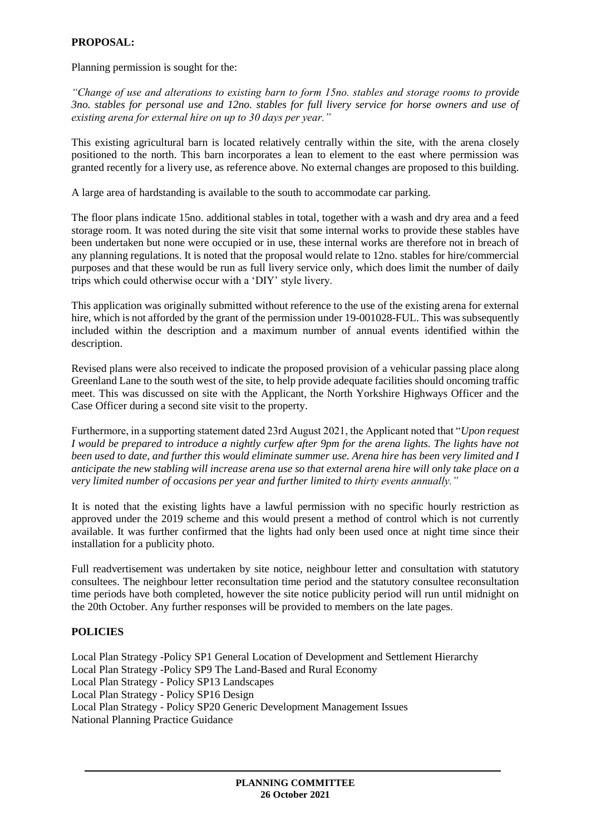## **PROPOSAL:**

Planning permission is sought for the:

*"Change of use and alterations to existing barn to form 15no. stables and storage rooms to provide 3no. stables for personal use and 12no. stables for full livery service for horse owners and use of existing arena for external hire on up to 30 days per year."*

This existing agricultural barn is located relatively centrally within the site, with the arena closely positioned to the north. This barn incorporates a lean to element to the east where permission was granted recently for a livery use, as reference above. No external changes are proposed to this building.

A large area of hardstanding is available to the south to accommodate car parking.

The floor plans indicate 15no. additional stables in total, together with a wash and dry area and a feed storage room. It was noted during the site visit that some internal works to provide these stables have been undertaken but none were occupied or in use, these internal works are therefore not in breach of any planning regulations. It is noted that the proposal would relate to 12no. stables for hire/commercial purposes and that these would be run as full livery service only, which does limit the number of daily trips which could otherwise occur with a 'DIY' style livery.

This application was originally submitted without reference to the use of the existing arena for external hire, which is not afforded by the grant of the permission under 19-001028-FUL. This was subsequently included within the description and a maximum number of annual events identified within the description.

Revised plans were also received to indicate the proposed provision of a vehicular passing place along Greenland Lane to the south west of the site, to help provide adequate facilities should oncoming traffic meet. This was discussed on site with the Applicant, the North Yorkshire Highways Officer and the Case Officer during a second site visit to the property.

Furthermore, in a supporting statement dated 23rd August 2021, the Applicant noted that "*Upon request I would be prepared to introduce a nightly curfew after 9pm for the arena lights. The lights have not been used to date, and further this would eliminate summer use. Arena hire has been very limited and I anticipate the new stabling will increase arena use so that external arena hire will only take place on a very limited number of occasions per year and further limited to thirty events annually."* 

It is noted that the existing lights have a lawful permission with no specific hourly restriction as approved under the 2019 scheme and this would present a method of control which is not currently available. It was further confirmed that the lights had only been used once at night time since their installation for a publicity photo.

Full readvertisement was undertaken by site notice, neighbour letter and consultation with statutory consultees. The neighbour letter reconsultation time period and the statutory consultee reconsultation time periods have both completed, however the site notice publicity period will run until midnight on the 20th October. Any further responses will be provided to members on the late pages.

### **POLICIES**

Local Plan Strategy -Policy SP1 General Location of Development and Settlement Hierarchy Local Plan Strategy -Policy SP9 The Land-Based and Rural Economy Local Plan Strategy - Policy SP13 Landscapes Local Plan Strategy - Policy SP16 Design Local Plan Strategy - Policy SP20 Generic Development Management Issues National Planning Practice Guidance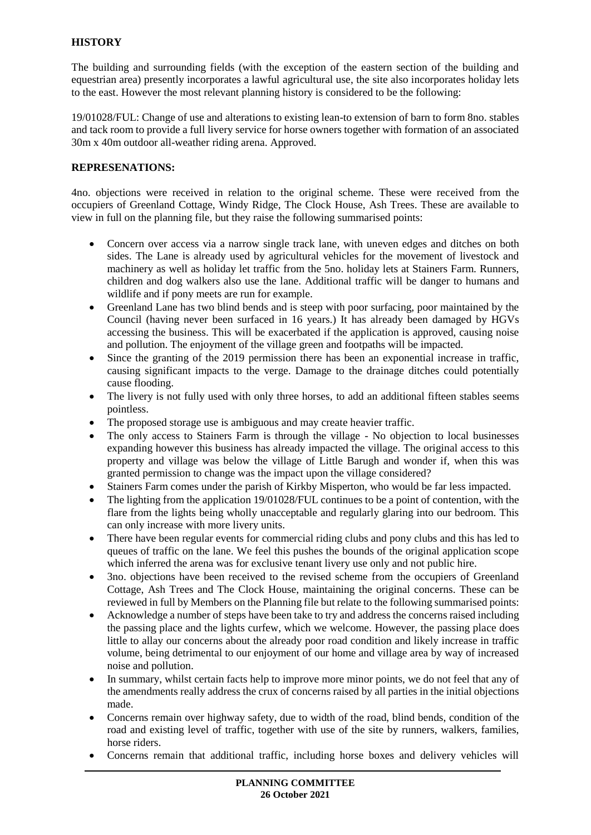# **HISTORY**

The building and surrounding fields (with the exception of the eastern section of the building and equestrian area) presently incorporates a lawful agricultural use, the site also incorporates holiday lets to the east. However the most relevant planning history is considered to be the following:

19/01028/FUL: Change of use and alterations to existing lean-to extension of barn to form 8no. stables and tack room to provide a full livery service for horse owners together with formation of an associated 30m x 40m outdoor all-weather riding arena. Approved.

### **REPRESENATIONS:**

4no. objections were received in relation to the original scheme. These were received from the occupiers of Greenland Cottage, Windy Ridge, The Clock House, Ash Trees. These are available to view in full on the planning file, but they raise the following summarised points:

- Concern over access via a narrow single track lane, with uneven edges and ditches on both sides. The Lane is already used by agricultural vehicles for the movement of livestock and machinery as well as holiday let traffic from the 5no. holiday lets at Stainers Farm. Runners, children and dog walkers also use the lane. Additional traffic will be danger to humans and wildlife and if pony meets are run for example.
- Greenland Lane has two blind bends and is steep with poor surfacing, poor maintained by the Council (having never been surfaced in 16 years.) It has already been damaged by HGVs accessing the business. This will be exacerbated if the application is approved, causing noise and pollution. The enjoyment of the village green and footpaths will be impacted.
- Since the granting of the 2019 permission there has been an exponential increase in traffic, causing significant impacts to the verge. Damage to the drainage ditches could potentially cause flooding.
- The livery is not fully used with only three horses, to add an additional fifteen stables seems pointless.
- The proposed storage use is ambiguous and may create heavier traffic.
- The only access to Stainers Farm is through the village No objection to local businesses expanding however this business has already impacted the village. The original access to this property and village was below the village of Little Barugh and wonder if, when this was granted permission to change was the impact upon the village considered?
- Stainers Farm comes under the parish of Kirkby Misperton, who would be far less impacted.
- The lighting from the application 19/01028/FUL continues to be a point of contention, with the flare from the lights being wholly unacceptable and regularly glaring into our bedroom. This can only increase with more livery units.
- There have been regular events for commercial riding clubs and pony clubs and this has led to queues of traffic on the lane. We feel this pushes the bounds of the original application scope which inferred the arena was for exclusive tenant livery use only and not public hire.
- 3no. objections have been received to the revised scheme from the occupiers of Greenland Cottage, Ash Trees and The Clock House, maintaining the original concerns. These can be reviewed in full by Members on the Planning file but relate to the following summarised points:
- Acknowledge a number of steps have been take to try and address the concerns raised including the passing place and the lights curfew, which we welcome. However, the passing place does little to allay our concerns about the already poor road condition and likely increase in traffic volume, being detrimental to our enjoyment of our home and village area by way of increased noise and pollution.
- In summary, whilst certain facts help to improve more minor points, we do not feel that any of the amendments really address the crux of concerns raised by all parties in the initial objections made.
- Concerns remain over highway safety, due to width of the road, blind bends, condition of the road and existing level of traffic, together with use of the site by runners, walkers, families, horse riders.
- Concerns remain that additional traffic, including horse boxes and delivery vehicles will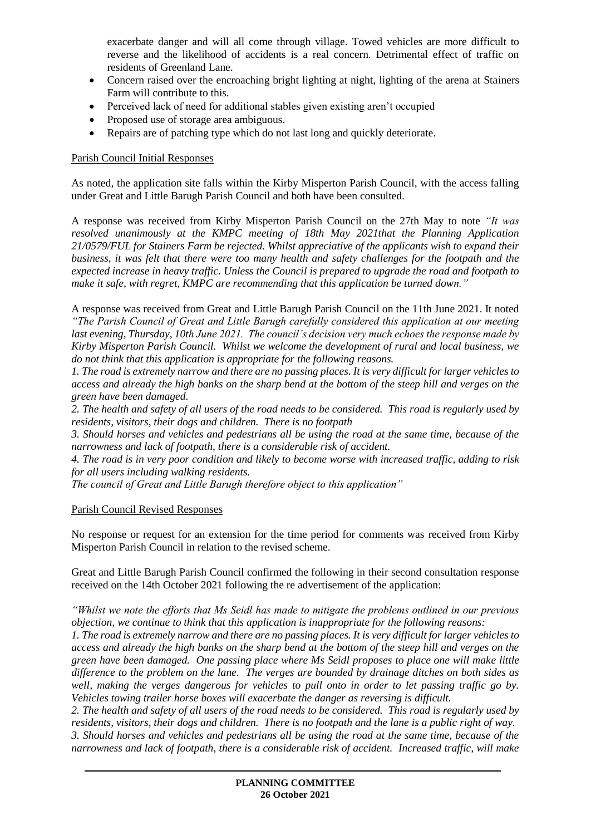exacerbate danger and will all come through village. Towed vehicles are more difficult to reverse and the likelihood of accidents is a real concern. Detrimental effect of traffic on residents of Greenland Lane.

- Concern raised over the encroaching bright lighting at night, lighting of the arena at Stainers Farm will contribute to this.
- Perceived lack of need for additional stables given existing aren't occupied
- Proposed use of storage area ambiguous.
- Repairs are of patching type which do not last long and quickly deteriorate.

#### Parish Council Initial Responses

As noted, the application site falls within the Kirby Misperton Parish Council, with the access falling under Great and Little Barugh Parish Council and both have been consulted.

A response was received from Kirby Misperton Parish Council on the 27th May to note *"It was resolved unanimously at the KMPC meeting of 18th May 2021that the Planning Application 21/0579/FUL for Stainers Farm be rejected. Whilst appreciative of the applicants wish to expand their business, it was felt that there were too many health and safety challenges for the footpath and the expected increase in heavy traffic. Unless the Council is prepared to upgrade the road and footpath to make it safe, with regret, KMPC are recommending that this application be turned down."*

A response was received from Great and Little Barugh Parish Council on the 11th June 2021. It noted *"The Parish Council of Great and Little Barugh carefully considered this application at our meeting last evening, Thursday, 10th June 2021. The council's decision very much echoes the response made by Kirby Misperton Parish Council. Whilst we welcome the development of rural and local business, we do not think that this application is appropriate for the following reasons.*

*1. The road is extremely narrow and there are no passing places. It is very difficult for larger vehicles to access and already the high banks on the sharp bend at the bottom of the steep hill and verges on the green have been damaged.* 

*2. The health and safety of all users of the road needs to be considered. This road is regularly used by residents, visitors, their dogs and children. There is no footpath*

*3. Should horses and vehicles and pedestrians all be using the road at the same time, because of the narrowness and lack of footpath, there is a considerable risk of accident.*

*4. The road is in very poor condition and likely to become worse with increased traffic, adding to risk for all users including walking residents.*

*The council of Great and Little Barugh therefore object to this application"*

### Parish Council Revised Responses

No response or request for an extension for the time period for comments was received from Kirby Misperton Parish Council in relation to the revised scheme.

Great and Little Barugh Parish Council confirmed the following in their second consultation response received on the 14th October 2021 following the re advertisement of the application:

*"Whilst we note the efforts that Ms Seidl has made to mitigate the problems outlined in our previous objection, we continue to think that this application is inappropriate for the following reasons:*

*1. The road is extremely narrow and there are no passing places. It is very difficult for larger vehicles to access and already the high banks on the sharp bend at the bottom of the steep hill and verges on the green have been damaged. One passing place where Ms Seidl proposes to place one will make little difference to the problem on the lane. The verges are bounded by drainage ditches on both sides as well, making the verges dangerous for vehicles to pull onto in order to let passing traffic go by. Vehicles towing trailer horse boxes will exacerbate the danger as reversing is difficult.*

*2. The health and safety of all users of the road needs to be considered. This road is regularly used by residents, visitors, their dogs and children. There is no footpath and the lane is a public right of way.*

*3. Should horses and vehicles and pedestrians all be using the road at the same time, because of the narrowness and lack of footpath, there is a considerable risk of accident. Increased traffic, will make*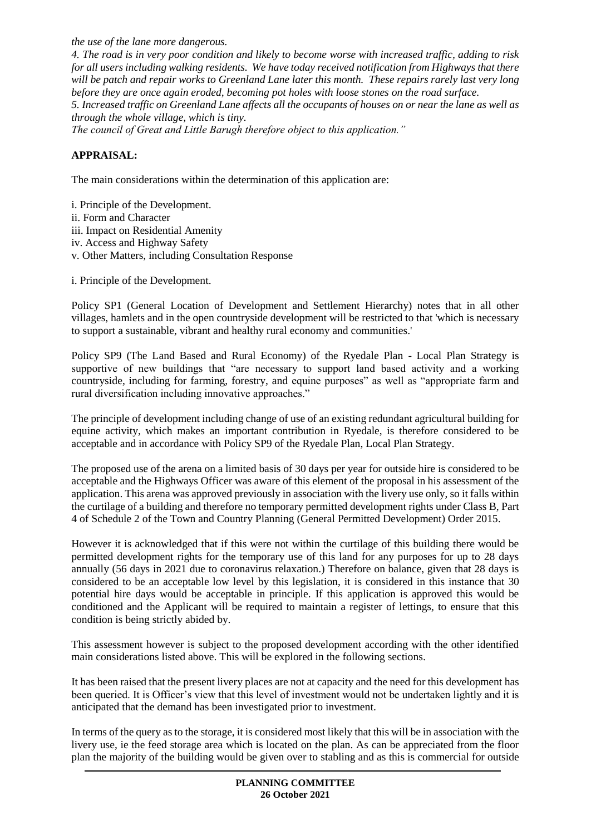*the use of the lane more dangerous.*

*4. The road is in very poor condition and likely to become worse with increased traffic, adding to risk for all users including walking residents. We have today received notification from Highways that there will be patch and repair works to Greenland Lane later this month. These repairs rarely last very long before they are once again eroded, becoming pot holes with loose stones on the road surface.*

*5. Increased traffic on Greenland Lane affects all the occupants of houses on or near the lane as well as through the whole village, which is tiny.*

*The council of Great and Little Barugh therefore object to this application."*

# **APPRAISAL:**

The main considerations within the determination of this application are:

i. Principle of the Development. ii. Form and Character iii. Impact on Residential Amenity iv. Access and Highway Safety

v. Other Matters, including Consultation Response

i. Principle of the Development.

Policy SP1 (General Location of Development and Settlement Hierarchy) notes that in all other villages, hamlets and in the open countryside development will be restricted to that 'which is necessary to support a sustainable, vibrant and healthy rural economy and communities.'

Policy SP9 (The Land Based and Rural Economy) of the Ryedale Plan - Local Plan Strategy is supportive of new buildings that "are necessary to support land based activity and a working countryside, including for farming, forestry, and equine purposes" as well as "appropriate farm and rural diversification including innovative approaches."

The principle of development including change of use of an existing redundant agricultural building for equine activity, which makes an important contribution in Ryedale, is therefore considered to be acceptable and in accordance with Policy SP9 of the Ryedale Plan, Local Plan Strategy.

The proposed use of the arena on a limited basis of 30 days per year for outside hire is considered to be acceptable and the Highways Officer was aware of this element of the proposal in his assessment of the application. This arena was approved previously in association with the livery use only, so it falls within the curtilage of a building and therefore no temporary permitted development rights under Class B, Part 4 of Schedule 2 of the Town and Country Planning (General Permitted Development) Order 2015.

However it is acknowledged that if this were not within the curtilage of this building there would be permitted development rights for the temporary use of this land for any purposes for up to 28 days annually (56 days in 2021 due to coronavirus relaxation.) Therefore on balance, given that 28 days is considered to be an acceptable low level by this legislation, it is considered in this instance that 30 potential hire days would be acceptable in principle. If this application is approved this would be conditioned and the Applicant will be required to maintain a register of lettings, to ensure that this condition is being strictly abided by.

This assessment however is subject to the proposed development according with the other identified main considerations listed above. This will be explored in the following sections.

It has been raised that the present livery places are not at capacity and the need for this development has been queried. It is Officer's view that this level of investment would not be undertaken lightly and it is anticipated that the demand has been investigated prior to investment.

In terms of the query as to the storage, it is considered most likely that this will be in association with the livery use, ie the feed storage area which is located on the plan. As can be appreciated from the floor plan the majority of the building would be given over to stabling and as this is commercial for outside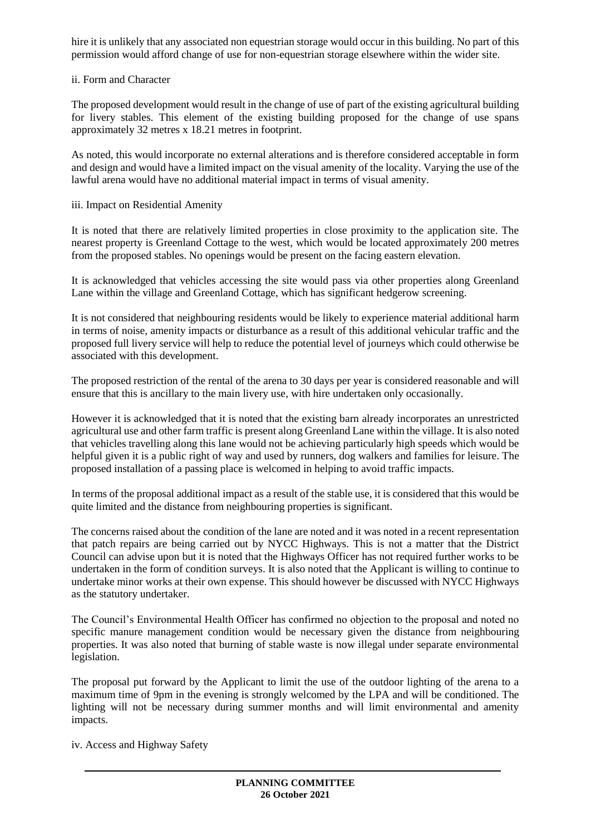hire it is unlikely that any associated non equestrian storage would occur in this building. No part of this permission would afford change of use for non-equestrian storage elsewhere within the wider site.

#### ii. Form and Character

The proposed development would result in the change of use of part of the existing agricultural building for livery stables. This element of the existing building proposed for the change of use spans approximately 32 metres x 18.21 metres in footprint.

As noted, this would incorporate no external alterations and is therefore considered acceptable in form and design and would have a limited impact on the visual amenity of the locality. Varying the use of the lawful arena would have no additional material impact in terms of visual amenity.

iii. Impact on Residential Amenity

It is noted that there are relatively limited properties in close proximity to the application site. The nearest property is Greenland Cottage to the west, which would be located approximately 200 metres from the proposed stables. No openings would be present on the facing eastern elevation.

It is acknowledged that vehicles accessing the site would pass via other properties along Greenland Lane within the village and Greenland Cottage, which has significant hedgerow screening.

It is not considered that neighbouring residents would be likely to experience material additional harm in terms of noise, amenity impacts or disturbance as a result of this additional vehicular traffic and the proposed full livery service will help to reduce the potential level of journeys which could otherwise be associated with this development.

The proposed restriction of the rental of the arena to 30 days per year is considered reasonable and will ensure that this is ancillary to the main livery use, with hire undertaken only occasionally.

However it is acknowledged that it is noted that the existing barn already incorporates an unrestricted agricultural use and other farm traffic is present along Greenland Lane within the village. It is also noted that vehicles travelling along this lane would not be achieving particularly high speeds which would be helpful given it is a public right of way and used by runners, dog walkers and families for leisure. The proposed installation of a passing place is welcomed in helping to avoid traffic impacts.

In terms of the proposal additional impact as a result of the stable use, it is considered that this would be quite limited and the distance from neighbouring properties is significant.

The concerns raised about the condition of the lane are noted and it was noted in a recent representation that patch repairs are being carried out by NYCC Highways. This is not a matter that the District Council can advise upon but it is noted that the Highways Officer has not required further works to be undertaken in the form of condition surveys. It is also noted that the Applicant is willing to continue to undertake minor works at their own expense. This should however be discussed with NYCC Highways as the statutory undertaker.

The Council's Environmental Health Officer has confirmed no objection to the proposal and noted no specific manure management condition would be necessary given the distance from neighbouring properties. It was also noted that burning of stable waste is now illegal under separate environmental legislation.

The proposal put forward by the Applicant to limit the use of the outdoor lighting of the arena to a maximum time of 9pm in the evening is strongly welcomed by the LPA and will be conditioned. The lighting will not be necessary during summer months and will limit environmental and amenity impacts.

iv. Access and Highway Safety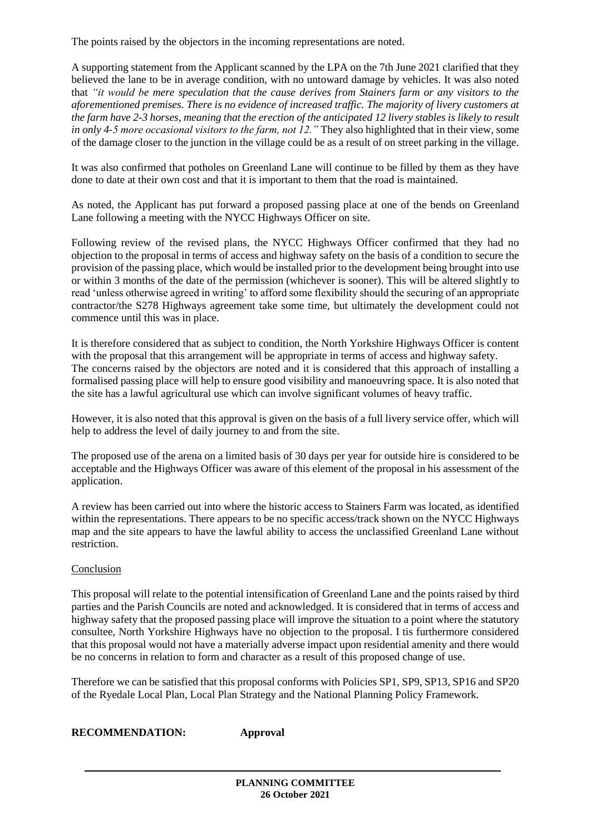The points raised by the objectors in the incoming representations are noted.

A supporting statement from the Applicant scanned by the LPA on the 7th June 2021 clarified that they believed the lane to be in average condition, with no untoward damage by vehicles. It was also noted that *"it would be mere speculation that the cause derives from Stainers farm or any visitors to the aforementioned premises. There is no evidence of increased traffic. The majority of livery customers at the farm have 2-3 horses, meaning that the erection of the anticipated 12 livery stables is likely to result in only 4-5 more occasional visitors to the farm, not 12."* They also highlighted that in their view, some of the damage closer to the junction in the village could be as a result of on street parking in the village.

It was also confirmed that potholes on Greenland Lane will continue to be filled by them as they have done to date at their own cost and that it is important to them that the road is maintained.

As noted, the Applicant has put forward a proposed passing place at one of the bends on Greenland Lane following a meeting with the NYCC Highways Officer on site.

Following review of the revised plans, the NYCC Highways Officer confirmed that they had no objection to the proposal in terms of access and highway safety on the basis of a condition to secure the provision of the passing place, which would be installed prior to the development being brought into use or within 3 months of the date of the permission (whichever is sooner). This will be altered slightly to read 'unless otherwise agreed in writing' to afford some flexibility should the securing of an appropriate contractor/the S278 Highways agreement take some time, but ultimately the development could not commence until this was in place.

It is therefore considered that as subject to condition, the North Yorkshire Highways Officer is content with the proposal that this arrangement will be appropriate in terms of access and highway safety. The concerns raised by the objectors are noted and it is considered that this approach of installing a formalised passing place will help to ensure good visibility and manoeuvring space. It is also noted that the site has a lawful agricultural use which can involve significant volumes of heavy traffic.

However, it is also noted that this approval is given on the basis of a full livery service offer, which will help to address the level of daily journey to and from the site.

The proposed use of the arena on a limited basis of 30 days per year for outside hire is considered to be acceptable and the Highways Officer was aware of this element of the proposal in his assessment of the application.

A review has been carried out into where the historic access to Stainers Farm was located, as identified within the representations. There appears to be no specific access/track shown on the NYCC Highways map and the site appears to have the lawful ability to access the unclassified Greenland Lane without restriction.

#### Conclusion

This proposal will relate to the potential intensification of Greenland Lane and the points raised by third parties and the Parish Councils are noted and acknowledged. It is considered that in terms of access and highway safety that the proposed passing place will improve the situation to a point where the statutory consultee, North Yorkshire Highways have no objection to the proposal. I tis furthermore considered that this proposal would not have a materially adverse impact upon residential amenity and there would be no concerns in relation to form and character as a result of this proposed change of use.

Therefore we can be satisfied that this proposal conforms with Policies SP1, SP9, SP13, SP16 and SP20 of the Ryedale Local Plan, Local Plan Strategy and the National Planning Policy Framework.

**RECOMMENDATION: Approval**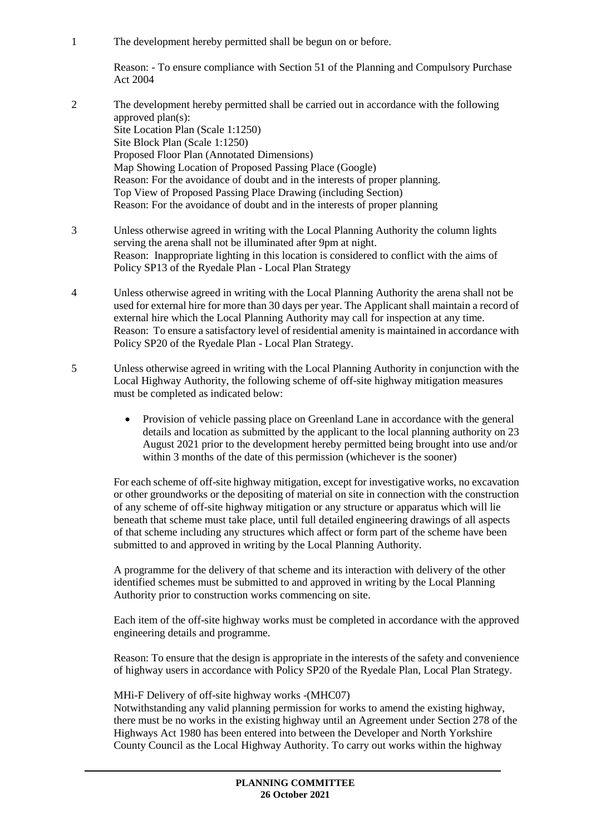1 The development hereby permitted shall be begun on or before.

Reason: - To ensure compliance with Section 51 of the Planning and Compulsory Purchase Act 2004

- 2 The development hereby permitted shall be carried out in accordance with the following approved plan(s): Site Location Plan (Scale 1:1250) Site Block Plan (Scale 1:1250) Proposed Floor Plan (Annotated Dimensions) Map Showing Location of Proposed Passing Place (Google) Reason: For the avoidance of doubt and in the interests of proper planning. Top View of Proposed Passing Place Drawing (including Section) Reason: For the avoidance of doubt and in the interests of proper planning
- 3 Unless otherwise agreed in writing with the Local Planning Authority the column lights serving the arena shall not be illuminated after 9pm at night. Reason: Inappropriate lighting in this location is considered to conflict with the aims of Policy SP13 of the Ryedale Plan - Local Plan Strategy
- 4 Unless otherwise agreed in writing with the Local Planning Authority the arena shall not be used for external hire for more than 30 days per year. The Applicant shall maintain a record of external hire which the Local Planning Authority may call for inspection at any time. Reason: To ensure a satisfactory level of residential amenity is maintained in accordance with Policy SP20 of the Ryedale Plan - Local Plan Strategy.
- 5 Unless otherwise agreed in writing with the Local Planning Authority in conjunction with the Local Highway Authority, the following scheme of off-site highway mitigation measures must be completed as indicated below:
	- Provision of vehicle passing place on Greenland Lane in accordance with the general details and location as submitted by the applicant to the local planning authority on 23 August 2021 prior to the development hereby permitted being brought into use and/or within 3 months of the date of this permission (whichever is the sooner)

For each scheme of off-site highway mitigation, except for investigative works, no excavation or other groundworks or the depositing of material on site in connection with the construction of any scheme of off-site highway mitigation or any structure or apparatus which will lie beneath that scheme must take place, until full detailed engineering drawings of all aspects of that scheme including any structures which affect or form part of the scheme have been submitted to and approved in writing by the Local Planning Authority.

A programme for the delivery of that scheme and its interaction with delivery of the other identified schemes must be submitted to and approved in writing by the Local Planning Authority prior to construction works commencing on site.

Each item of the off-site highway works must be completed in accordance with the approved engineering details and programme.

Reason: To ensure that the design is appropriate in the interests of the safety and convenience of highway users in accordance with Policy SP20 of the Ryedale Plan, Local Plan Strategy.

#### MHi-F Delivery of off-site highway works -(MHC07)

Notwithstanding any valid planning permission for works to amend the existing highway, there must be no works in the existing highway until an Agreement under Section 278 of the Highways Act 1980 has been entered into between the Developer and North Yorkshire County Council as the Local Highway Authority. To carry out works within the highway